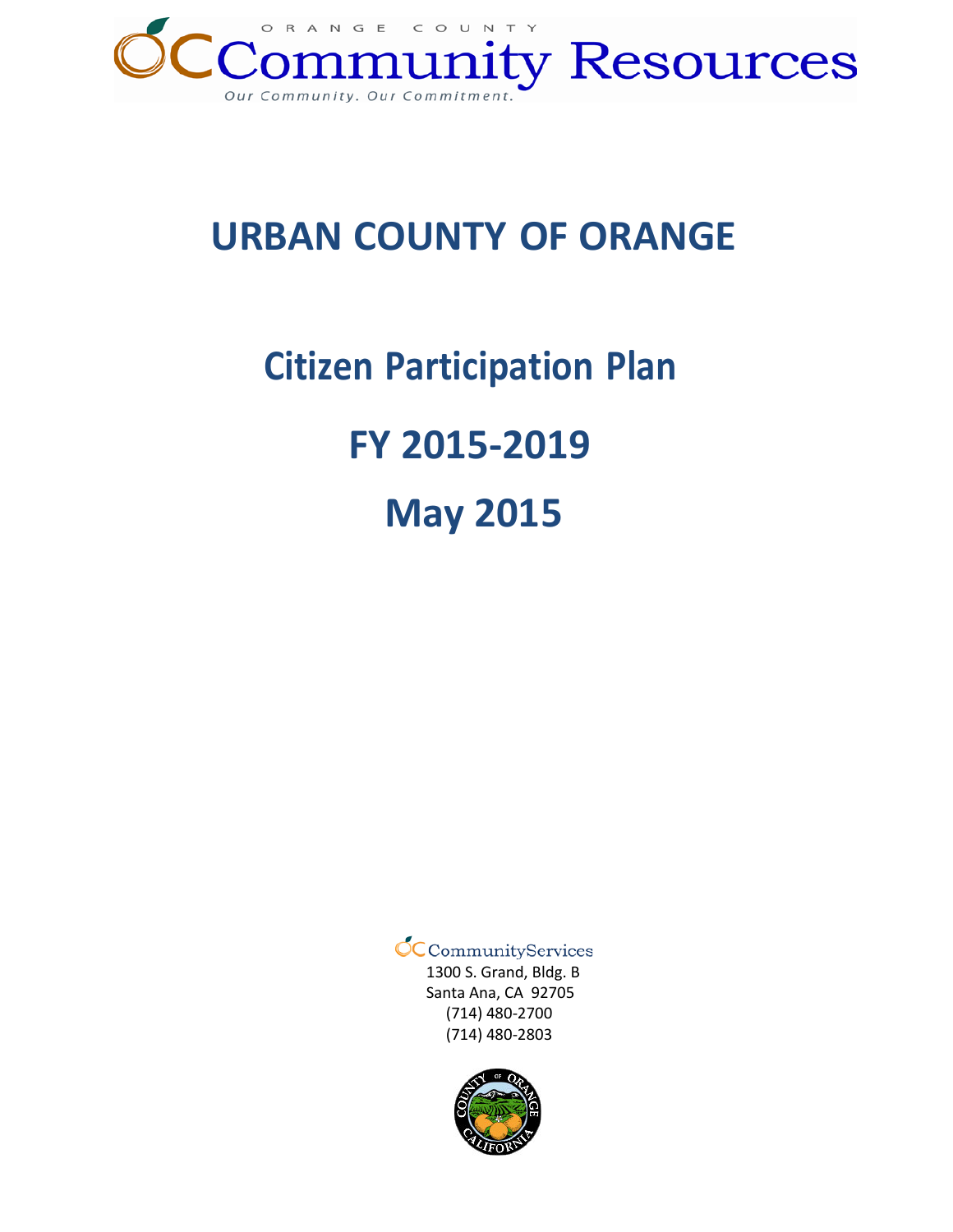

# **URBAN COUNTY OF ORANGE**

# **Citizen Participation Plan FY 2015-2019 May 2015**

 $\mathcal{O}_\mathsf{C}$ CommunityServices

1300 S. Grand, Bldg. B Santa Ana, CA 92705 (714) 480-2700 (714) 480-2803

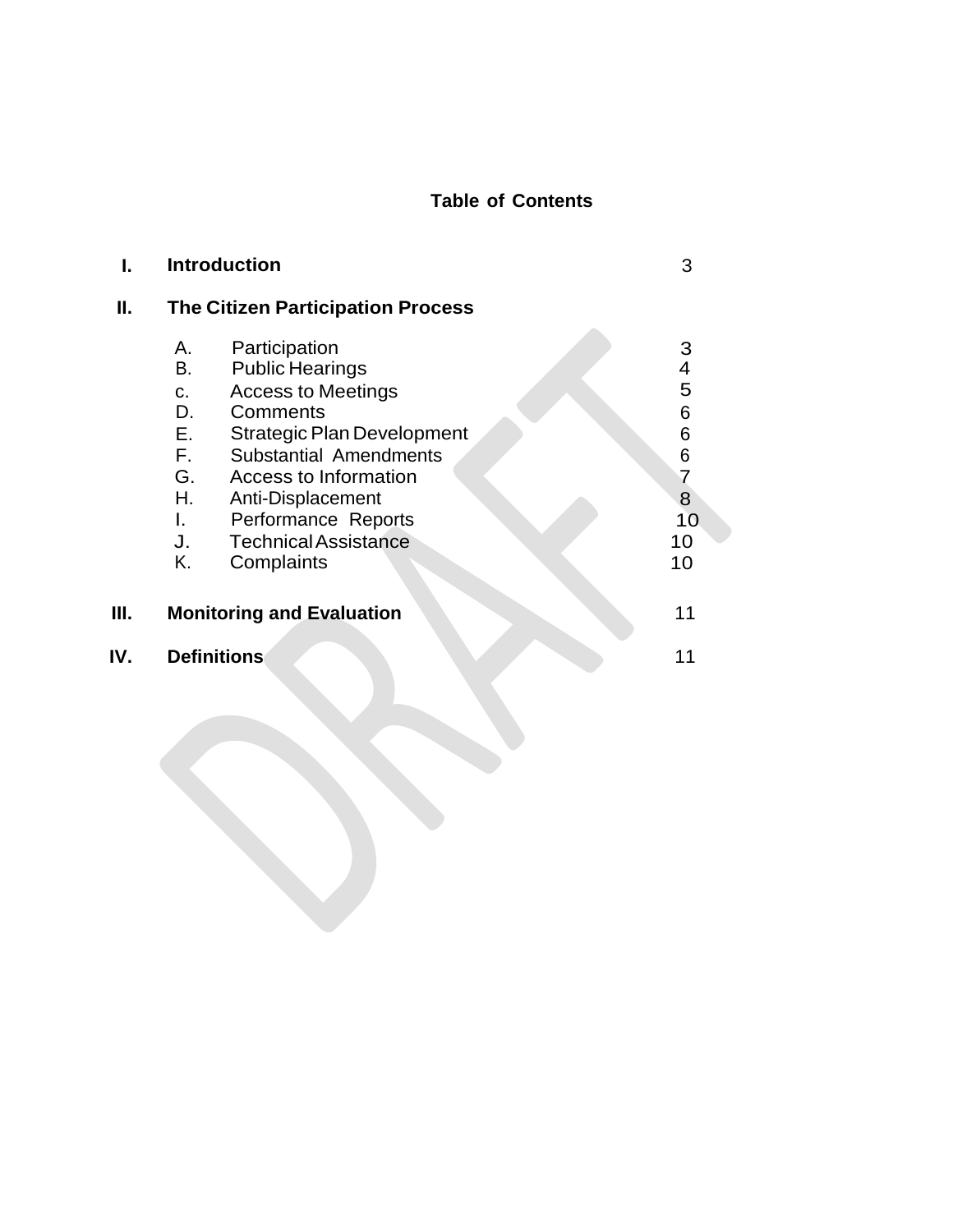# **Table of Contents**

|     | <b>Introduction</b>                      |                                   | 3                       |
|-----|------------------------------------------|-----------------------------------|-------------------------|
| II. | <b>The Citizen Participation Process</b> |                                   |                         |
|     | А.                                       | Participation                     | 3                       |
|     | B.                                       | <b>Public Hearings</b>            | $\overline{\mathbf{4}}$ |
|     | C.                                       | <b>Access to Meetings</b>         | 5                       |
|     | D.                                       | Comments                          | 6                       |
|     | E.                                       | <b>Strategic Plan Development</b> | 6                       |
|     | F.                                       | <b>Substantial Amendments</b>     | 6                       |
|     | G.                                       | Access to Information             | $\overline{7}$          |
|     | Η.                                       | Anti-Displacement                 | 8                       |
|     | L.                                       | Performance Reports               | 10                      |
|     | J.                                       | <b>Technical Assistance</b>       | 10                      |
|     | Κ.                                       | Complaints                        | 10                      |
| Ш.  | <b>Monitoring and Evaluation</b>         |                                   | 11                      |
| IV. | <b>Definitions</b>                       |                                   | 11                      |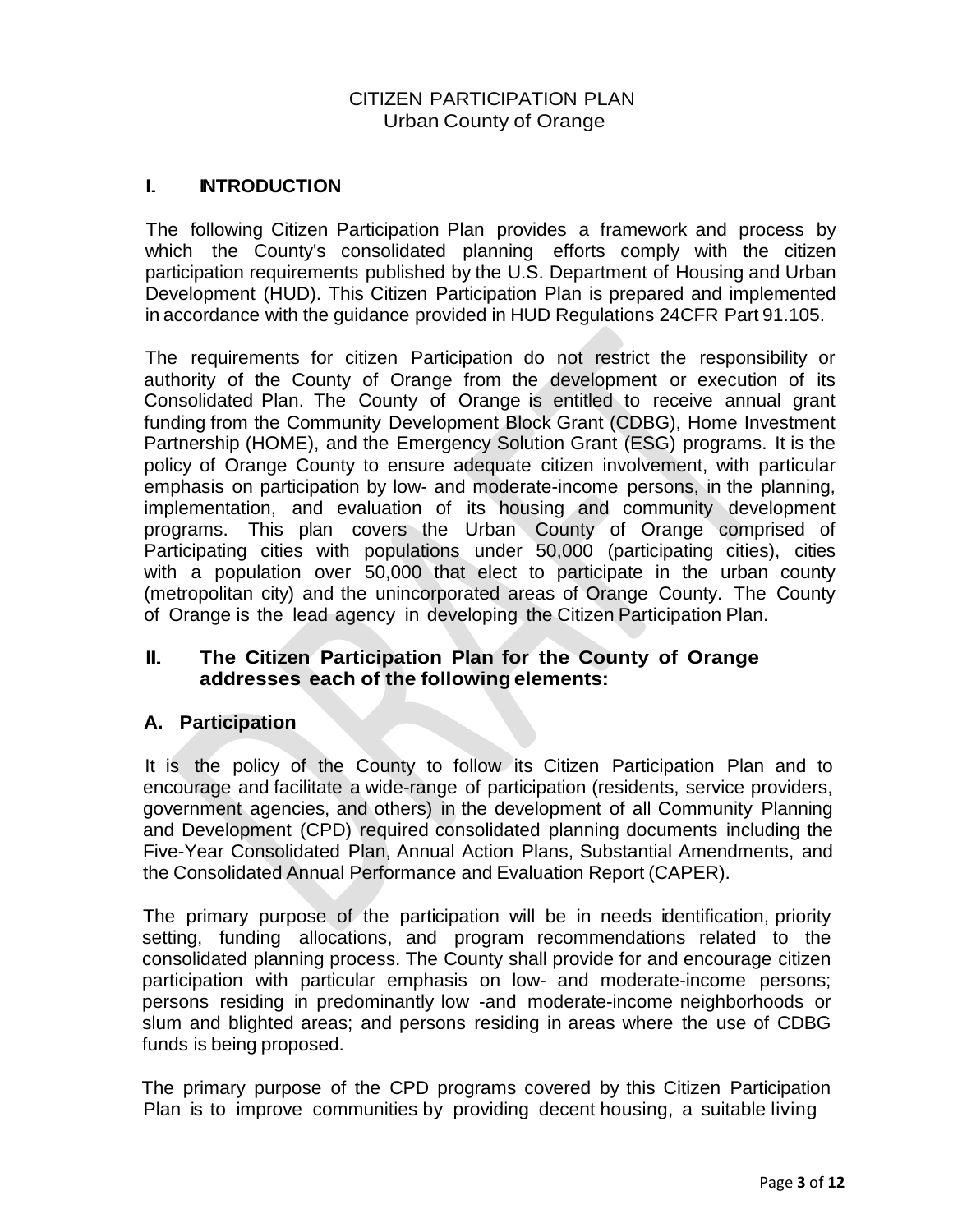# CITIZEN PARTICIPATION PLAN Urban County of Orange

# I. **INTRODUCTION**

The following Citizen Participation Plan provides a framework and process by which the County's consolidated planning efforts comply with the citizen participation requirements published by the U.S. Department of Housing and Urban Development (HUD). This Citizen Participation Plan is prepared and implemented in accordance with the guidance provided in HUD Regulations 24CFR Part 91.105.

The requirements for citizen Participation do not restrict the responsibility or authority of the County of Orange from the development or execution of its Consolidated Plan. The County of Orange is entitled to receive annual grant funding from the Community Development Block Grant (CDBG), Home Investment Partnership (HOME), and the Emergency Solution Grant (ESG) programs. It is the policy of Orange County to ensure adequate citizen involvement, with particular emphasis on participation by low- and moderate-income persons, in the planning, implementation, and evaluation of its housing and community development programs. This plan covers the Urban County of Orange comprised of Participating cities with populations under 50,000 (participating cities), cities with a population over 50,000 that elect to participate in the urban county (metropolitan city) and the unincorporated areas of Orange County. The County of Orange is the lead agency in developing the Citizen Participation Plan.

# II. **The Citizen Participation Plan for the County of Orange addresses each of the following elements:**

### **A. Participation**

It is the policy of the County to follow its Citizen Participation Plan and to encourage and facilitate a wide-range of participation (residents, service providers, government agencies, and others) in the development of all Community Planning and Development (CPD) required consolidated planning documents including the Five-Year Consolidated Plan, Annual Action Plans, Substantial Amendments, and the Consolidated Annual Performance and Evaluation Report (CAPER).

The primary purpose of the participation will be in needs identification, priority setting, funding allocations, and program recommendations related to the consolidated planning process. The County shall provide for and encourage citizen participation with particular emphasis on low- and moderate-income persons; persons residing in predominantly low -and moderate-income neighborhoods or slum and blighted areas; and persons residing in areas where the use of CDBG funds is being proposed.

The primary purpose of the CPD programs covered by this Citizen Participation Plan is to improve communities by providing decent housing, a suitable living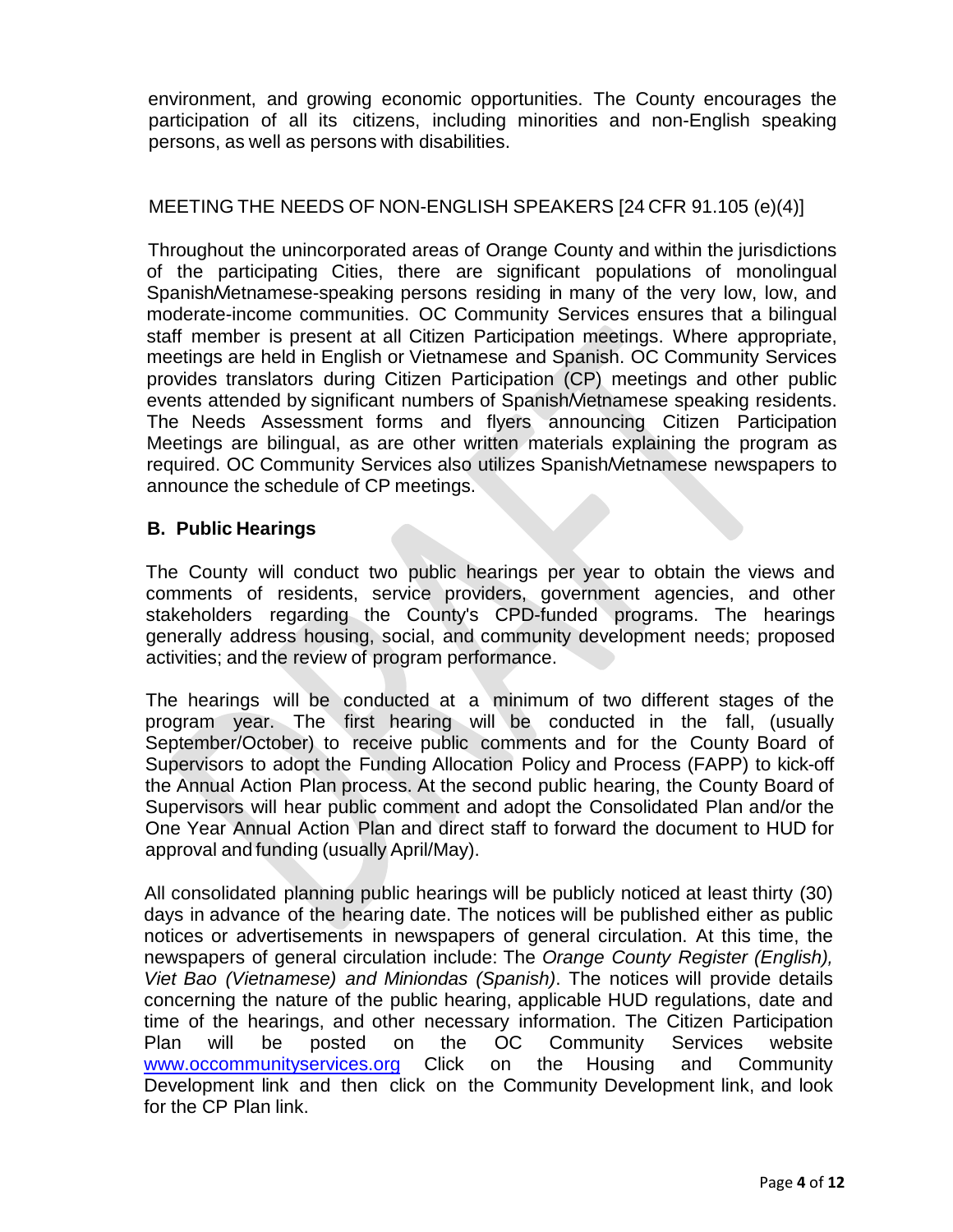environment, and growing economic opportunities. The County encourages the participation of all its citizens, including minorities and non-English speaking persons, as well as persons with disabilities.

## MEETING THE NEEDS OF NON-ENGLISH SPEAKERS [24 CFR 91.105 (e)(4)]

Throughout the unincorporated areas of Orange County and within the jurisdictions of the participating Cities, there are significant populations of monolingual Spanish/Vietnamese-speaking persons residing in many of the very low, low, and moderate-income communities. OC Community Services ensures that a bilingual staff member is present at all Citizen Participation meetings. Where appropriate, meetings are held in English or Vietnamese and Spanish. OC Community Services provides translators during Citizen Participation (CP) meetings and other public events attended by significant numbers of Spanish/Vietnamese speaking residents. The Needs Assessment forms and flyers announcing Citizen Participation Meetings are bilingual, as are other written materials explaining the program as required. OC Community Services also utilizes Spanish/Vietnamese newspapers to announce the schedule of CP meetings.

### **B. Public Hearings**

The County will conduct two public hearings per year to obtain the views and comments of residents, service providers, government agencies, and other stakeholders regarding the County's CPD-funded programs. The hearings generally address housing, social, and community development needs; proposed activities; and the review of program performance.

The hearings will be conducted at a minimum of two different stages of the program year. The first hearing will be conducted in the fall, (usually September/October) to receive public comments and for the County Board of Supervisors to adopt the Funding Allocation Policy and Process (FAPP) to kick-off the Annual Action Plan process. At the second public hearing, the County Board of Supervisors will hear public comment and adopt the Consolidated Plan and/or the One Year Annual Action Plan and direct staff to forward the document to HUD for approval and funding (usually April/May).

All consolidated planning public hearings will be publicly noticed at least thirty (30) days in advance of the hearing date. The notices will be published either as public notices or advertisements in newspapers of general circulation. At this time, the newspapers of general circulation include: The *Orange County Register (English), Viet Bao (Vietnamese) and Miniondas (Spanish)*. The notices will provide details concerning the nature of the public hearing, applicable HUD regulations, date and time of the hearings, and other necessary information. The Citizen Participation Plan will be posted on the OC Community Services website [www.occommunityservices.org](http://www.occommunityservices.org/) Click on the Housing and Community Development link and then click on the Community Development link, and look for the CP Plan link.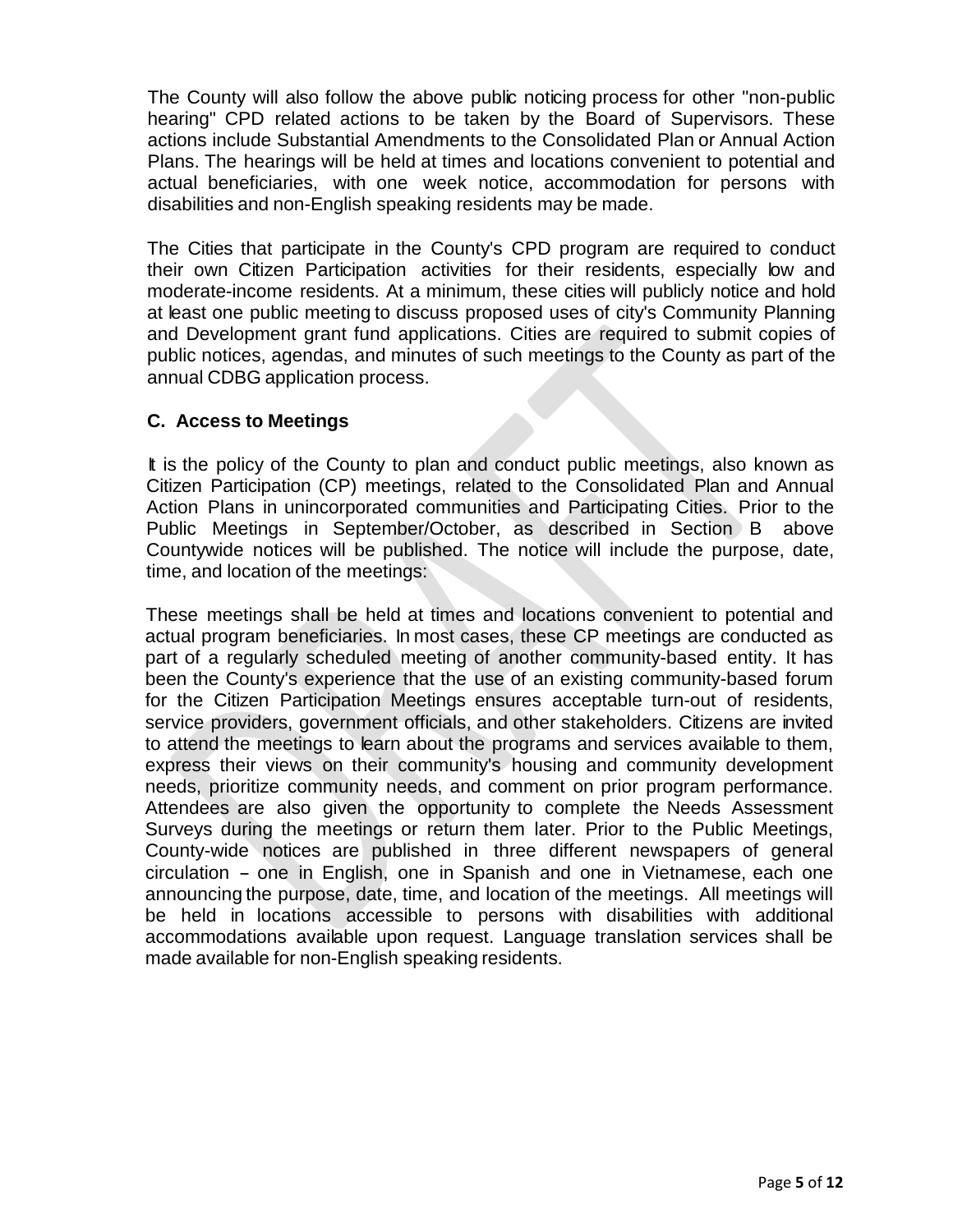The County will also follow the above public noticing process for other "non-public hearing" CPD related actions to be taken by the Board of Supervisors. These actions include Substantial Amendments to the Consolidated Plan or Annual Action Plans. The hearings will be held at times and locations convenient to potential and actual beneficiaries, with one week notice, accommodation for persons with disabilities and non-English speaking residents may be made.

The Cities that participate in the County's CPD program are required to conduct their own Citizen Participation activities for their residents, especially low and moderate-income residents. At a minimum, these cities will publicly notice and hold at least one public meeting to discuss proposed uses of city's Community Planning and Development grant fund applications. Cities are required to submit copies of public notices, agendas, and minutes of such meetings to the County as part of the annual CDBG application process.

#### **C. Access to Meetings**

It is the policy of the County to plan and conduct public meetings, also known as Citizen Participation (CP) meetings, related to the Consolidated Plan and Annual Action Plans in unincorporated communities and Participating Cities. Prior to the Public Meetings in September/October, as described in Section B above Countywide notices will be published. The notice will include the purpose, date, time, and location of the meetings:

These meetings shall be held at times and locations convenient to potential and actual program beneficiaries. In most cases, these CP meetings are conducted as part of a regularly scheduled meeting of another community-based entity. It has been the County's experience that the use of an existing community-based forum for the Citizen Participation Meetings ensures acceptable turn-out of residents, service providers, government officials, and other stakeholders. Citizens are invited to attend the meetings to learn about the programs and services available to them, express their views on their community's housing and community development needs, prioritize community needs, and comment on prior program performance. Attendees are also given the opportunity to complete the Needs Assessment Surveys during the meetings or return them later. Prior to the Public Meetings, County-wide notices are published in three different newspapers of general circulation - one in English, one in Spanish and one in Vietnamese, each one announcing the purpose, date, time, and location of the meetings. All meetings will be held in locations accessible to persons with disabilities with additional accommodations available upon request. Language translation services shall be made available for non-English speaking residents.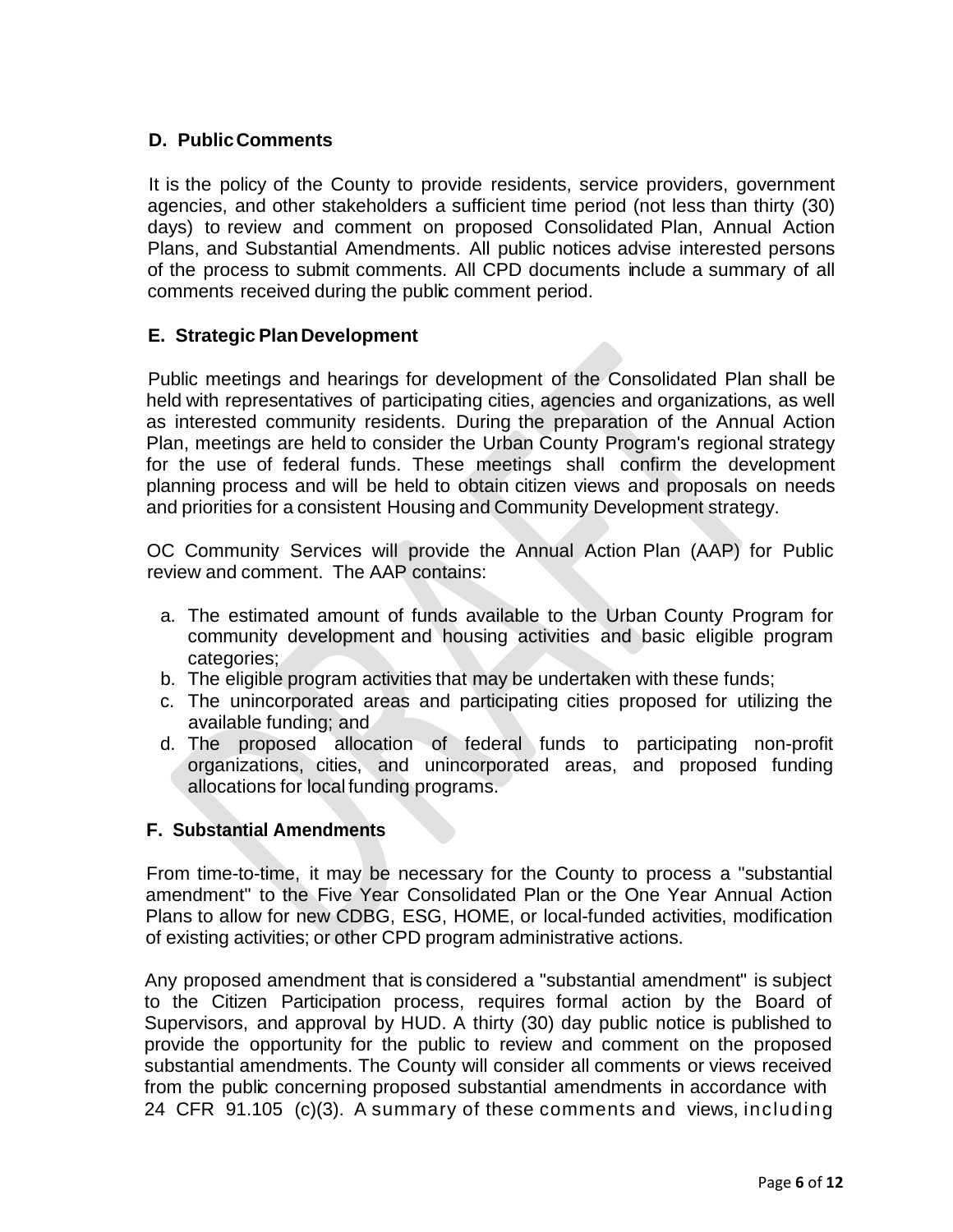# **D. PublicComments**

It is the policy of the County to provide residents, service providers, government agencies, and other stakeholders a sufficient time period (not less than thirty (30) days) to review and comment on proposed Consolidated Plan, Annual Action Plans, and Substantial Amendments. All public notices advise interested persons of the process to submit comments. All CPD documents include a summary of all comments received during the public comment period.

#### **E. Strategic PlanDevelopment**

Public meetings and hearings for development of the Consolidated Plan shall be held with representatives of participating cities, agencies and organizations, as well as interested community residents. During the preparation of the Annual Action Plan, meetings are held to consider the Urban County Program's regional strategy for the use of federal funds. These meetings shall confirm the development planning process and will be held to obtain citizen views and proposals on needs and priorities for a consistent Housing and Community Development strategy.

OC Community Services will provide the Annual Action Plan (AAP) for Public review and comment. The AAP contains:

- a. The estimated amount of funds available to the Urban County Program for community development and housing activities and basic eligible program categories;
- b. The eligible program activities that may be undertaken with these funds;
- c. The unincorporated areas and participating cities proposed for utilizing the available funding; and
- d. The proposed allocation of federal funds to participating non-profit organizations, cities, and unincorporated areas, and proposed funding allocations for local funding programs.

#### **F. Substantial Amendments**

From time-to-time, it may be necessary for the County to process a "substantial amendment" to the Five Year Consolidated Plan or the One Year Annual Action Plans to allow for new CDBG, ESG, HOME, or local-funded activities, modification of existing activities; or other CPD program administrative actions.

Any proposed amendment that is considered a "substantial amendment" is subject to the Citizen Participation process, requires formal action by the Board of Supervisors, and approval by HUD. A thirty (30) day public notice is published to provide the opportunity for the public to review and comment on the proposed substantial amendments. The County will consider all comments or views received from the public concerning proposed substantial amendments in accordance with 24 CFR 91.105 (c)(3). A summary of these comments and views, including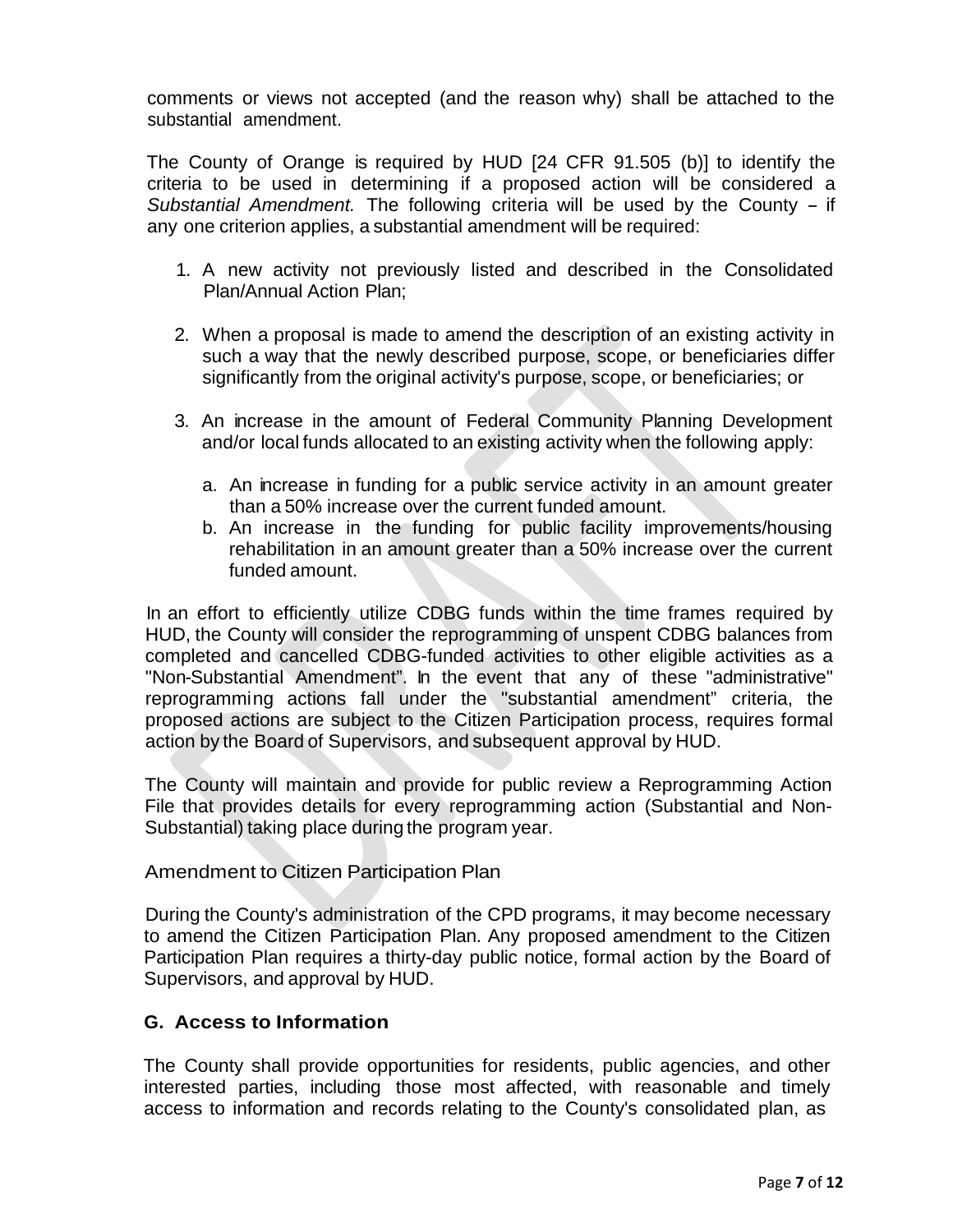comments or views not accepted (and the reason why) shall be attached to the substantial amendment.

The County of Orange is required by HUD [24 CFR 91.505 (b)] to identify the criteria to be used in determining if a proposed action will be considered a *Substantial Amendment.* The following criteria will be used by the County - if any one criterion applies, a substantial amendment will be required:

- 1. A new activity not previously listed and described in the Consolidated Plan/Annual Action Plan;
- 2. When a proposal is made to amend the description of an existing activity in such a way that the newly described purpose, scope, or beneficiaries differ significantly from the original activity's purpose, scope, or beneficiaries; or
- 3. An increase in the amount of Federal Community Planning Development and/or local funds allocated to an existing activity when the following apply:
	- a. An increase in funding for a public service activity in an amount greater than a 50% increase over the current funded amount.
	- b. An increase in the funding for public facility improvements/housing rehabilitation in an amount greater than a 50% increase over the current funded amount.

In an effort to efficiently utilize CDBG funds within the time frames required by HUD, the County will consider the reprogramming of unspent CDBG balances from completed and cancelled CDBG-funded activities to other eligible activities as a "Non-Substantial Amendment". In the event that any of these "administrative" reprogramming actions fall under the "substantial amendment" criteria, the proposed actions are subject to the Citizen Participation process, requires formal action by the Board of Supervisors, and subsequent approval by HUD.

The County will maintain and provide for public review a Reprogramming Action File that provides details for every reprogramming action (Substantial and Non-Substantial) taking place during the program year.

Amendment to Citizen Participation Plan

During the County's administration of the CPD programs, it may become necessary to amend the Citizen Participation Plan. Any proposed amendment to the Citizen Participation Plan requires a thirty-day public notice, formal action by the Board of Supervisors, and approval by HUD.

# **G. Access to Information**

The County shall provide opportunities for residents, public agencies, and other interested parties, including those most affected, with reasonable and timely access to information and records relating to the County's consolidated plan, as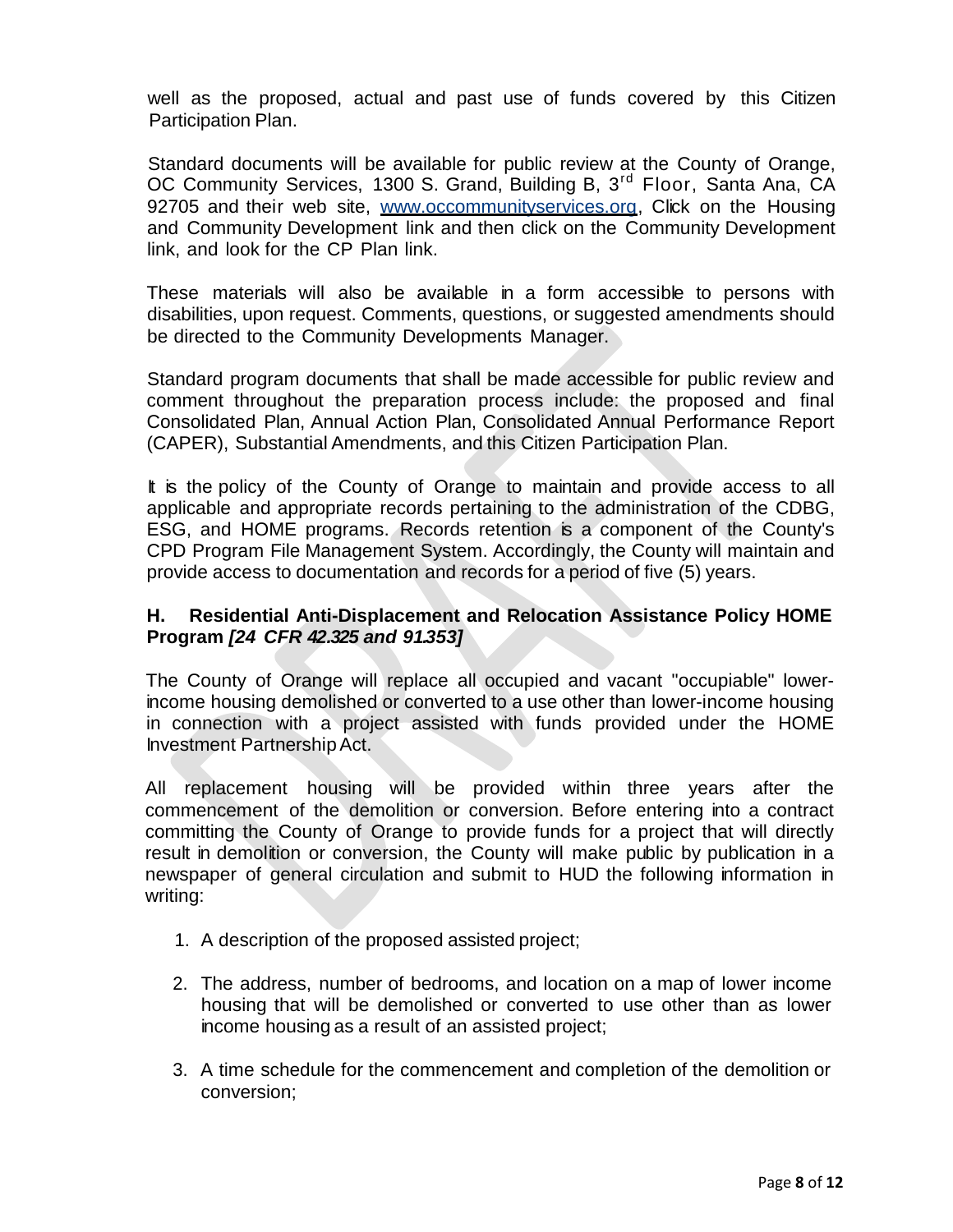well as the proposed, actual and past use of funds covered by this Citizen Participation Plan.

Standard documents will be available for public review at the County of Orange, OC Community Services, 1300 S. Grand, Building B, 3<sup>rd</sup> Floor, Santa Ana, CA 92705 and their web site, www.occommunityservices.org, Click on the Housing and Community Development link and then click on the Community Development link, and look for the CP Plan link.

These materials will also be available in a form accessible to persons with disabilities, upon request. Comments, questions, or suggested amendments should be directed to the Community Developments Manager.

Standard program documents that shall be made accessible for public review and comment throughout the preparation process include: the proposed and final Consolidated Plan, Annual Action Plan, Consolidated Annual Performance Report (CAPER), Substantial Amendments, and this Citizen Participation Plan.

It is the policy of the County of Orange to maintain and provide access to all applicable and appropriate records pertaining to the administration of the CDBG, ESG, and HOME programs. Records retention is a component of the County's CPD Program File Management System. Accordingly, the County will maintain and provide access to documentation and records for a period of five (5) years.

### **H. Residential Anti-Displacement and Relocation Assistance Policy HOME Program** *[24 CFR 42.325 and 91.353]*

The County of Orange will replace all occupied and vacant "occupiable" lowerincome housing demolished or converted to a use other than lower-income housing in connection with a project assisted with funds provided under the HOME Investment PartnershipAct.

All replacement housing will be provided within three years after the commencement of the demolition or conversion. Before entering into a contract committing the County of Orange to provide funds for a project that will directly result in demolition or conversion, the County will make public by publication in a newspaper of general circulation and submit to HUD the following information in writing:

- 1. A description of the proposed assisted project;
- 2. The address, number of bedrooms, and location on a map of lower income housing that will be demolished or converted to use other than as lower income housing as a result of an assisted project;
- 3. A time schedule for the commencement and completion of the demolition or conversion;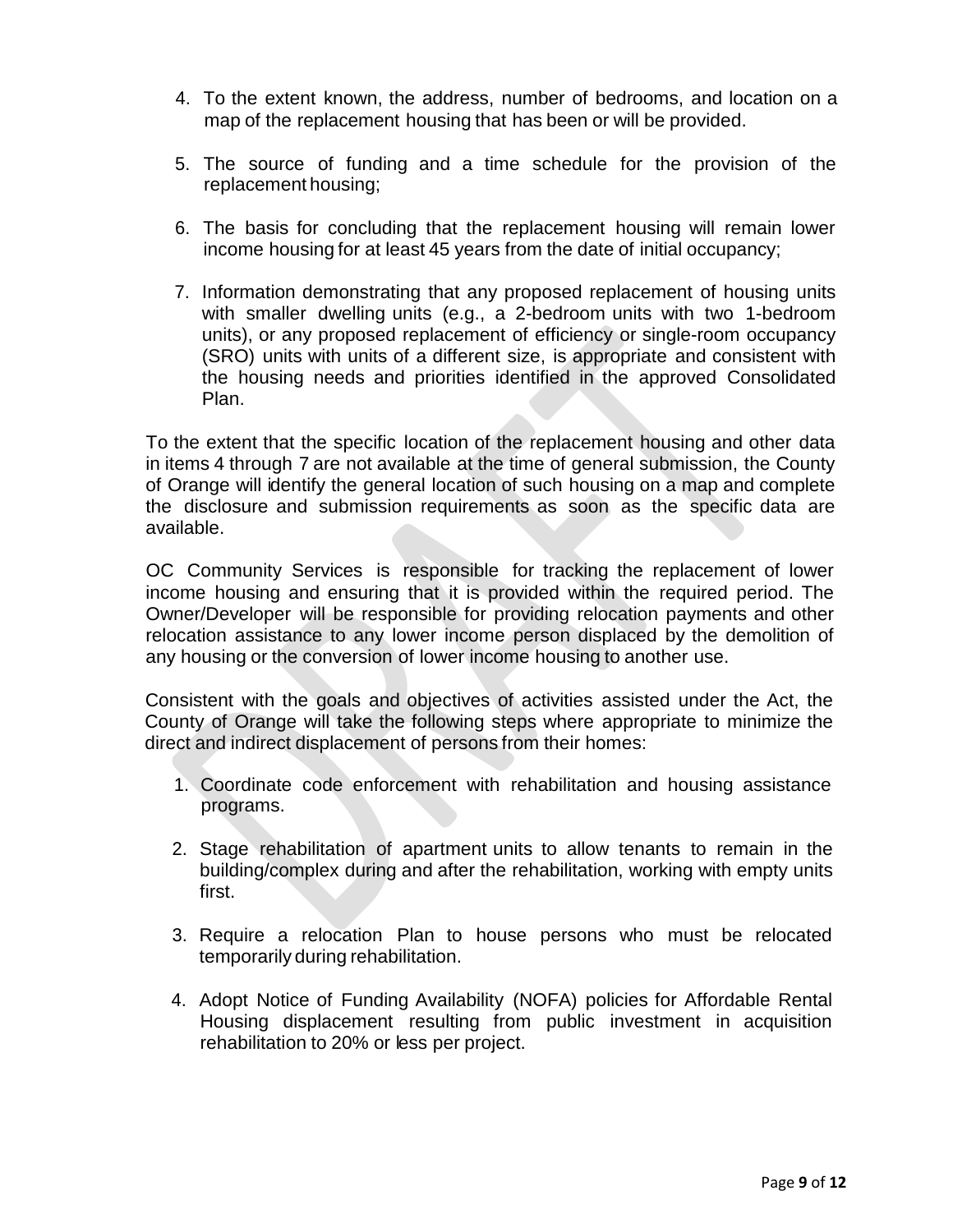- 4. To the extent known, the address, number of bedrooms, and location on a map of the replacement housing that has been or will be provided.
- 5. The source of funding and a time schedule for the provision of the replacement housing;
- 6. The basis for concluding that the replacement housing will remain lower income housing for at least 45 years from the date of initial occupancy;
- 7. Information demonstrating that any proposed replacement of housing units with smaller dwelling units (e.g., a 2-bedroom units with two 1-bedroom units), or any proposed replacement of efficiency or single-room occupancy (SRO) units with units of a different size, is appropriate and consistent with the housing needs and priorities identified in the approved Consolidated Plan.

To the extent that the specific location of the replacement housing and other data in items 4 through 7 are not available at the time of general submission, the County of Orange will identify the general location of such housing on a map and complete the disclosure and submission requirements as soon as the specific data are available.

OC Community Services is responsible for tracking the replacement of lower income housing and ensuring that it is provided within the required period. The Owner/Developer will be responsible for providing relocation payments and other relocation assistance to any lower income person displaced by the demolition of any housing or the conversion of lower income housing to another use.

Consistent with the goals and objectives of activities assisted under the Act, the County of Orange will take the following steps where appropriate to minimize the direct and indirect displacement of persons from their homes:

- 1. Coordinate code enforcement with rehabilitation and housing assistance programs.
- 2. Stage rehabilitation of apartment units to allow tenants to remain in the building/complex during and after the rehabilitation, working with empty units first.
- 3. Require a relocation Plan to house persons who must be relocated temporarily during rehabilitation.
- 4. Adopt Notice of Funding Availability (NOFA) policies for Affordable Rental Housing displacement resulting from public investment in acquisition rehabilitation to 20% or less per project.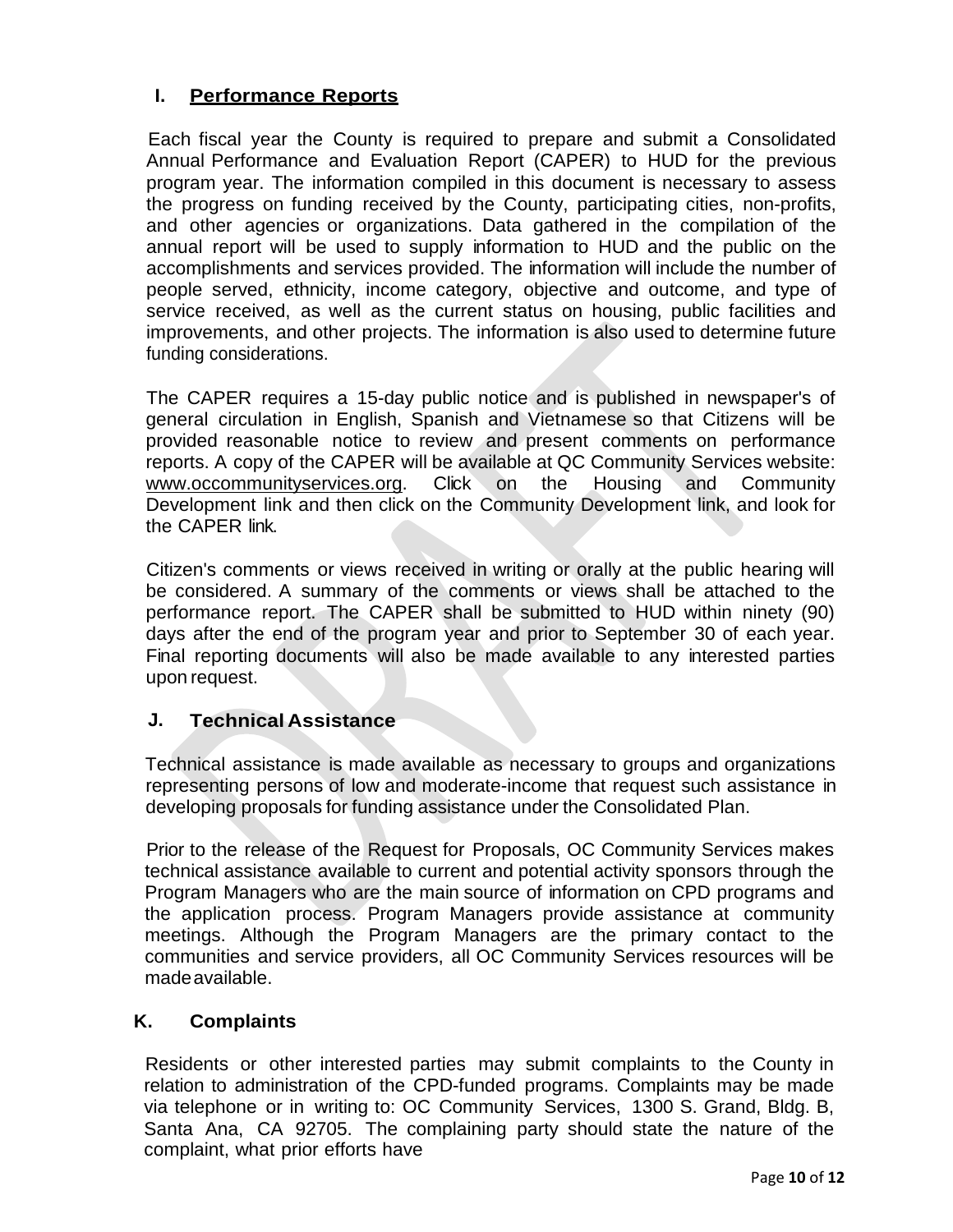# **I. Performance Reports**

Each fiscal year the County is required to prepare and submit a Consolidated Annual Performance and Evaluation Report (CAPER) to HUD for the previous program year. The information compiled in this document is necessary to assess the progress on funding received by the County, participating cities, non-profits, and other agencies or organizations. Data gathered in the compilation of the annual report will be used to supply information to HUD and the public on the accomplishments and services provided. The information will include the number of people served, ethnicity, income category, objective and outcome, and type of service received, as well as the current status on housing, public facilities and improvements, and other projects. The information is also used to determine future funding considerations.

The CAPER requires a 15-day public notice and is published in newspaper's of general circulation in English, Spanish and Vietnamese so that Citizens will be provided reasonable notice to review and present comments on performance reports. A copy of the CAPER will be available at QC Community Services website: www.occommunityservices.org. Click on the Housing and Community Development link and then click on the Community Development link, and look for the CAPER link.

Citizen's comments or views received in writing or orally at the public hearing will be considered. A summary of the comments or views shall be attached to the performance report. The CAPER shall be submitted to HUD within ninety (90) days after the end of the program year and prior to September 30 of each year. Final reporting documents will also be made available to any interested parties upon request.

### **J. Technical Assistance**

Technical assistance is made available as necessary to groups and organizations representing persons of low and moderate-income that request such assistance in developing proposals for funding assistance under the Consolidated Plan.

Prior to the release of the Request for Proposals, OC Community Services makes technical assistance available to current and potential activity sponsors through the Program Managers who are the main source of information on CPD programs and the application process. Program Managers provide assistance at community meetings. Although the Program Managers are the primary contact to the communities and service providers, all OC Community Services resources will be madeavailable.

### **K. Complaints**

Residents or other interested parties may submit complaints to the County in relation to administration of the CPD-funded programs. Complaints may be made via telephone or in writing to: OC Community Services, 1300 S. Grand, Bldg. B, Santa Ana, CA 92705. The complaining party should state the nature of the complaint, what prior efforts have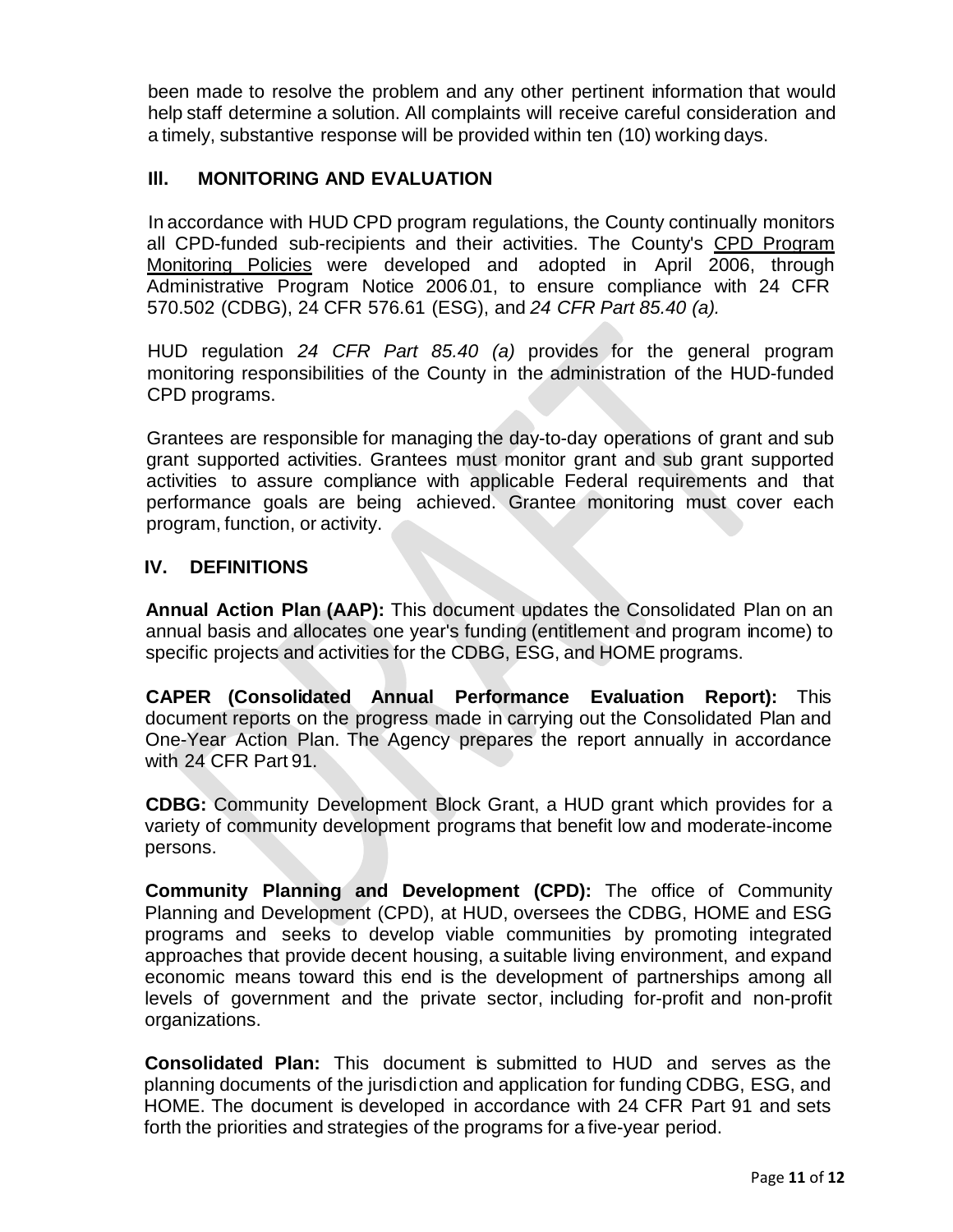been made to resolve the problem and any other pertinent information that would help staff determine a solution. All complaints will receive careful consideration and a timely, substantive response will be provided within ten (10) working days.

# **Ill. MONITORING AND EVALUATION**

In accordance with HUD CPD program regulations, the County continually monitors all CPD-funded sub-recipients and their activities. The County's CPD Program Monitoring Policies were developed and adopted in April 2006, through Administrative Program Notice 2006.01, to ensure compliance with 24 CFR 570.502 (CDBG), 24 CFR 576.61 (ESG), and *24 CFR Part 85.40 (a).*

HUD regulation *24 CFR Part 85.40 (a)* provides for the general program monitoring responsibilities of the County in the administration of the HUD-funded CPD programs.

Grantees are responsible for managing the day-to-day operations of grant and sub grant supported activities. Grantees must monitor grant and sub grant supported activities to assure compliance with applicable Federal requirements and that performance goals are being achieved. Grantee monitoring must cover each program, function, or activity.

### **IV. DEFINITIONS**

**Annual Action Plan (AAP):** This document updates the Consolidated Plan on an annual basis and allocates one year's funding (entitlement and program income) to specific projects and activities for the CDBG, ESG, and HOME programs.

**CAPER (Consolidated Annual Performance Evaluation Report):** This document reports on the progress made in carrying out the Consolidated Plan and One-Year Action Plan. The Agency prepares the report annually in accordance with 24 CFR Part 91.

**CDBG:** Community Development Block Grant, a HUD grant which provides for a variety of community development programs that benefit low and moderate-income persons.

**Community Planning and Development (CPD):** The office of Community Planning and Development (CPD), at HUD, oversees the CDBG, HOME and ESG programs and seeks to develop viable communities by promoting integrated approaches that provide decent housing, a suitable living environment, and expand economic means toward this end is the development of partnerships among all levels of government and the private sector, including for-profit and non-profit organizations.

**Consolidated Plan:** This document is submitted to HUD and serves as the planning documents of the jurisdiction and application for funding CDBG, ESG, and HOME. The document is developed in accordance with 24 CFR Part 91 and sets forth the priorities and strategies of the programs for a five-year period.